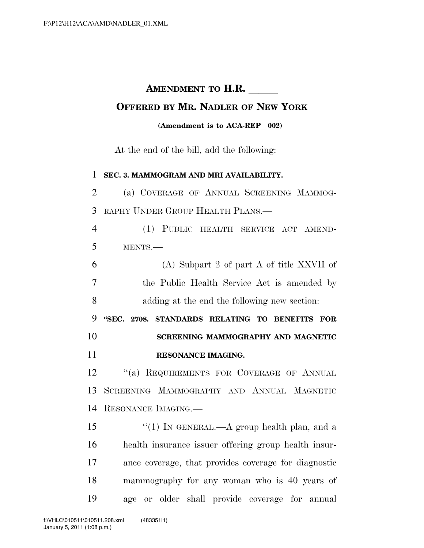## **AMENDMENT TO H.R.**

## **OFFERED BY MR. NADLER OF NEW YORK**

## **(Amendment is to ACA-REP** 002)

At the end of the bill, add the following:

 **SEC. 3. MAMMOGRAM AND MRI AVAILABILITY.**  (a) COVERAGE OF ANNUAL SCREENING MAMMOG- RAPHY UNDER GROUP HEALTH PLANS.— (1) PUBLIC HEALTH SERVICE ACT AMEND- MENTS.— (A) Subpart 2 of part A of title XXVII of the Public Health Service Act is amended by adding at the end the following new section: **''SEC. 2708. STANDARDS RELATING TO BENEFITS FOR SCREENING MAMMOGRAPHY AND MAGNETIC RESONANCE IMAGING.**  12 "(a) REQUIREMENTS FOR COVERAGE OF ANNUAL SCREENING MAMMOGRAPHY AND ANNUAL MAGNETIC RESONANCE IMAGING.—  $\frac{15}{10}$  IN GENERAL.—A group health plan, and a health insurance issuer offering group health insur- ance coverage, that provides coverage for diagnostic mammography for any woman who is 40 years of age or older shall provide coverage for annual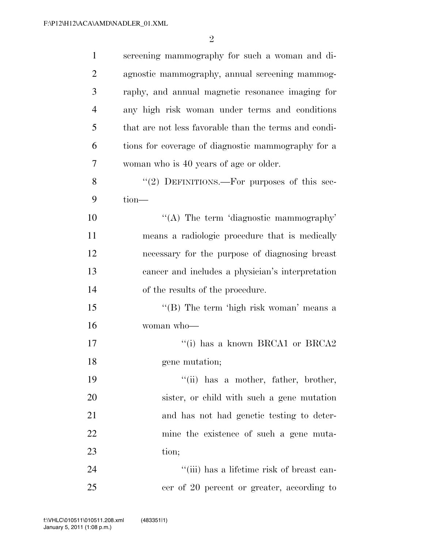| $\mathbf{1}$   | screening mammography for such a woman and di-        |
|----------------|-------------------------------------------------------|
| $\overline{2}$ | agnostic mammography, annual screening mammog-        |
| 3              | raphy, and annual magnetic resonance imaging for      |
| $\overline{4}$ | any high risk woman under terms and conditions        |
| 5              | that are not less favorable than the terms and condi- |
| 6              | tions for coverage of diagnostic mammography for a    |
| 7              | woman who is 40 years of age or older.                |
| 8              | "(2) DEFINITIONS.—For purposes of this sec-           |
| 9              | tion-                                                 |
| 10             | "(A) The term 'diagnostic mammography'                |
| 11             | means a radiologic procedure that is medically        |
| 12             | necessary for the purpose of diagnosing breast        |
| 13             | cancer and includes a physician's interpretation      |
| 14             | of the results of the procedure.                      |
| 15             | "(B) The term 'high risk woman' means a               |
| 16             | woman who-                                            |
| 17             | "(i) has a known BRCA1 or BRCA2                       |
| 18             | gene mutation;                                        |
| 19             | "(ii) has a mother, father, brother,                  |
| 20             | sister, or child with such a gene mutation            |
| 21             | and has not had genetic testing to deter-             |
| 22             | mine the existence of such a gene muta-               |
| 23             | tion;                                                 |
| 24             | "(iii) has a lifetime risk of breast can-             |
| 25             | cer of 20 percent or greater, according to            |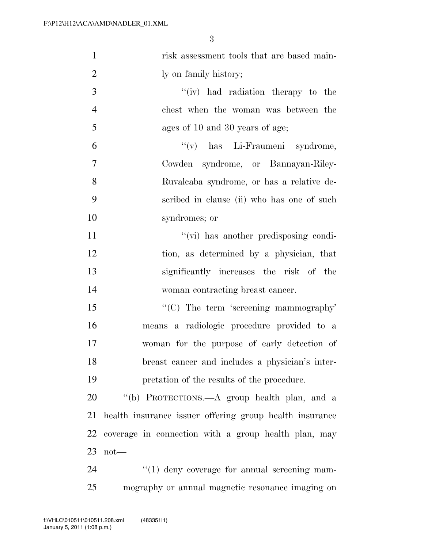| $\mathbf{1}$   | risk assessment tools that are based main-              |
|----------------|---------------------------------------------------------|
| $\overline{2}$ | ly on family history;                                   |
| 3              | "(iv) had radiation therapy to the                      |
| $\overline{4}$ | chest when the woman was between the                    |
| 5              | ages of 10 and 30 years of age;                         |
| 6              | "(v) has Li-Fraumeni syndrome,                          |
| 7              | Cowden syndrome, or Bannayan-Riley-                     |
| 8              | Ruvalcaba syndrome, or has a relative de-               |
| 9              | scribed in clause (ii) who has one of such              |
| 10             | syndromes; or                                           |
| 11             | "(vi) has another predisposing condi-                   |
| 12             | tion, as determined by a physician, that                |
| 13             | significantly increases the risk of the                 |
| 14             | woman contracting breast cancer.                        |
| 15             | " $(C)$ The term 'screening mammography'                |
| 16             | means a radiologic procedure provided to a              |
| 17             | woman for the purpose of early detection of             |
| 18             | breast cancer and includes a physician's inter-         |
| 19             | pretation of the results of the procedure.              |
| 20             | "(b) PROTECTIONS.—A group health plan, and a            |
| 21             | health insurance issuer offering group health insurance |
| 22             | coverage in connection with a group health plan, may    |
| 23             | $not$ —                                                 |
| 24             | $\lq(1)$ deny coverage for annual screening mam-        |
| 25             | mography or annual magnetic resonance imaging on        |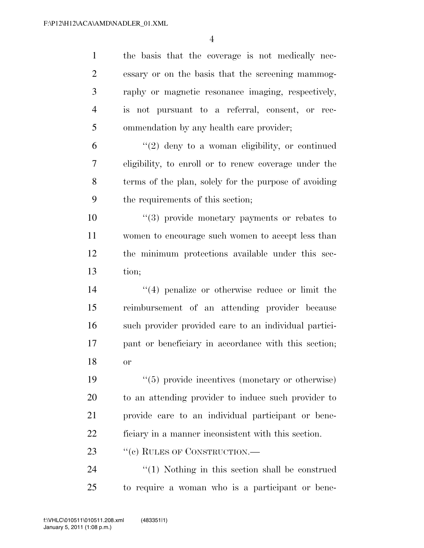the basis that the coverage is not medically nec- essary or on the basis that the screening mammog- raphy or magnetic resonance imaging, respectively, is not pursuant to a referral, consent, or rec-ommendation by any health care provider;

 "(2) deny to a woman eligibility, or continued eligibility, to enroll or to renew coverage under the terms of the plan, solely for the purpose of avoiding the requirements of this section;

 $\frac{1}{2}$  (3) provide monetary payments or rebates to women to encourage such women to accept less than the minimum protections available under this sec-tion;

 ''(4) penalize or otherwise reduce or limit the reimbursement of an attending provider because such provider provided care to an individual partici- pant or beneficiary in accordance with this section; or

 $(5)$  provide incentives (monetary or otherwise) to an attending provider to induce such provider to provide care to an individual participant or bene-ficiary in a manner inconsistent with this section.

23 " (c) RULES OF CONSTRUCTION.—

24 ''(1) Nothing in this section shall be construed to require a woman who is a participant or bene-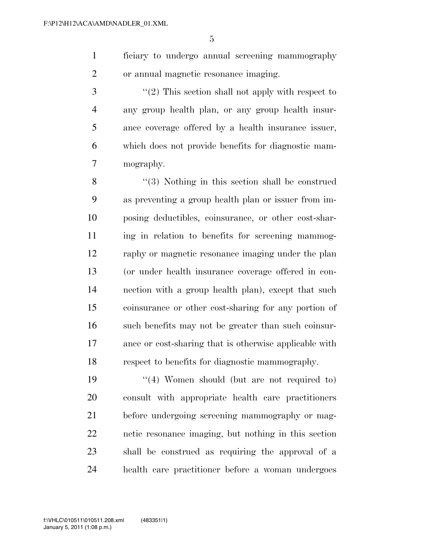ficiary to undergo annual screening mammography or annual magnetic resonance imaging.

3 ''(2) This section shall not apply with respect to any group health plan, or any group health insur- ance coverage offered by a health insurance issuer, which does not provide benefits for diagnostic mam-mography.

8 ''(3) Nothing in this section shall be construed as preventing a group health plan or issuer from im- posing deductibles, coinsurance, or other cost-shar- ing in relation to benefits for screening mammog- raphy or magnetic resonance imaging under the plan (or under health insurance coverage offered in con- nection with a group health plan), except that such coinsurance or other cost-sharing for any portion of such benefits may not be greater than such coinsur- ance or cost-sharing that is otherwise applicable with respect to benefits for diagnostic mammography.

19 ''(4) Women should (but are not required to) consult with appropriate health care practitioners before undergoing screening mammography or mag- netic resonance imaging, but nothing in this section shall be construed as requiring the approval of a health care practitioner before a woman undergoes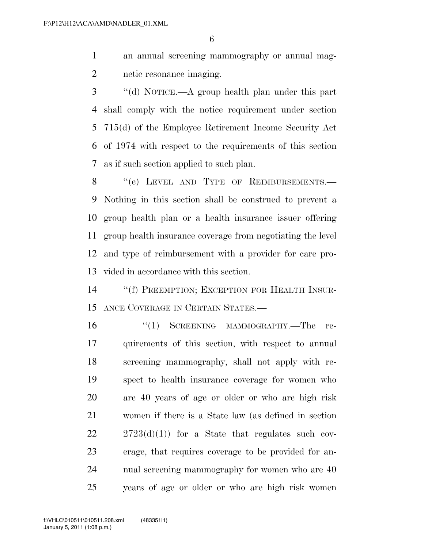an annual screening mammography or annual mag-netic resonance imaging.

 ''(d) NOTICE.—A group health plan under this part shall comply with the notice requirement under section 715(d) of the Employee Retirement Income Security Act of 1974 with respect to the requirements of this section as if such section applied to such plan.

8 "(e) LEVEL AND TYPE OF REIMBURSEMENTS. Nothing in this section shall be construed to prevent a group health plan or a health insurance issuer offering group health insurance coverage from negotiating the level and type of reimbursement with a provider for care pro-vided in accordance with this section.

 ''(f) PREEMPTION; EXCEPTION FOR HEALTH INSUR-ANCE COVERAGE IN CERTAIN STATES.—

16 "(1) SCREENING MAMMOGRAPHY.—The re- quirements of this section, with respect to annual screening mammography, shall not apply with re- spect to health insurance coverage for women who are 40 years of age or older or who are high risk women if there is a State law (as defined in section  $22 \t2723(d)(1)$  for a State that regulates such cov- erage, that requires coverage to be provided for an- nual screening mammography for women who are 40 years of age or older or who are high risk women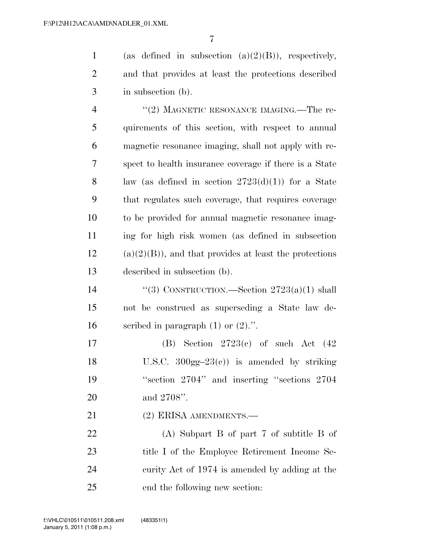1 (as defined in subsection  $(a)(2)(B)$ ), respectively, and that provides at least the protections described in subsection (b).

4 "(2) MAGNETIC RESONANCE IMAGING.—The re- quirements of this section, with respect to annual magnetic resonance imaging, shall not apply with re- spect to health insurance coverage if there is a State 8 law (as defined in section  $2723(d)(1)$ ) for a State that regulates such coverage, that requires coverage to be provided for annual magnetic resonance imag- ing for high risk women (as defined in subsection (a)(2)(B)), and that provides at least the protections described in subsection (b).

 ''(3) CONSTRUCTION.—Section 2723(a)(1) shall not be construed as superseding a State law de-16 seribed in paragraph  $(1)$  or  $(2)$ .".

 (B) Section 2723(c) of such Act (42 18 U.S.C.  $300gg-23(e)$  is amended by striking ''section 2704'' and inserting ''sections 2704 and 2708''.

21 (2) ERISA AMENDMENTS.

 (A) Subpart B of part 7 of subtitle B of 23 title I of the Employee Retirement Income Se- curity Act of 1974 is amended by adding at the end the following new section: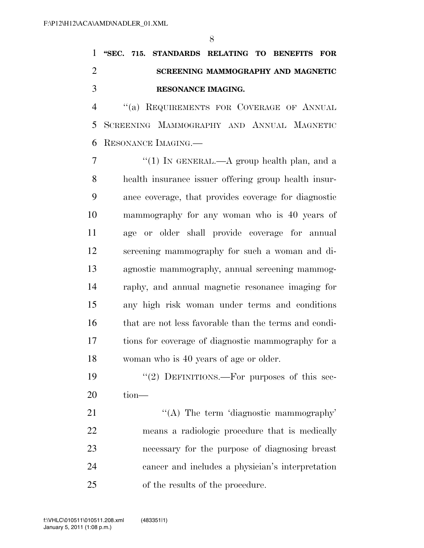**''SEC. 715. STANDARDS RELATING TO BENEFITS FOR SCREENING MAMMOGRAPHY AND MAGNETIC RESONANCE IMAGING.** 

4 "(a) REQUIREMENTS FOR COVERAGE OF ANNUAL SCREENING MAMMOGRAPHY AND ANNUAL MAGNETIC RESONANCE IMAGING.—

 $\frac{7}{7}$  ''(1) In GENERAL.—A group health plan, and a health insurance issuer offering group health insur- ance coverage, that provides coverage for diagnostic mammography for any woman who is 40 years of age or older shall provide coverage for annual screening mammography for such a woman and di- agnostic mammography, annual screening mammog- raphy, and annual magnetic resonance imaging for any high risk woman under terms and conditions that are not less favorable than the terms and condi- tions for coverage of diagnostic mammography for a woman who is 40 years of age or older.

19 "(2) DEFINITIONS.—For purposes of this sec-tion—

21 "'(A) The term 'diagnostic mammography' means a radiologic procedure that is medically necessary for the purpose of diagnosing breast cancer and includes a physician's interpretation of the results of the procedure.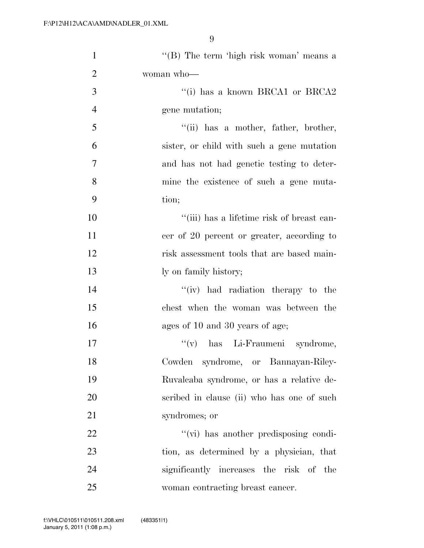| $\mathbf{1}$   | "(B) The term 'high risk woman' means a    |
|----------------|--------------------------------------------|
| $\overline{2}$ | woman who-                                 |
| 3              | "(i) has a known BRCA1 or BRCA2            |
| $\overline{4}$ | gene mutation;                             |
| 5              | $``(ii)$ has a mother, father, brother,    |
| 6              | sister, or child with such a gene mutation |
| $\overline{7}$ | and has not had genetic testing to deter-  |
| 8              | mine the existence of such a gene muta-    |
| 9              | tion;                                      |
| 10             | "(iii) has a lifetime risk of breast can-  |
| 11             | cer of 20 percent or greater, according to |
| 12             | risk assessment tools that are based main- |
| 13             | ly on family history;                      |
| 14             | "(iv) had radiation therapy to the         |
| 15             | chest when the woman was between the       |
| 16             | ages of 10 and 30 years of age;            |
| 17             | "(v) has Li-Fraumeni syndrome,             |
| 18             | Cowden syndrome, or Bannayan-Riley-        |
| 19             | Ruvalcaba syndrome, or has a relative de-  |
| 20             | scribed in clause (ii) who has one of such |
| 21             | syndromes; or                              |
| 22             | "(vi) has another predisposing condi-      |
| 23             | tion, as determined by a physician, that   |
| 24             | significantly increases the risk of the    |
| 25             | woman contracting breast cancer.           |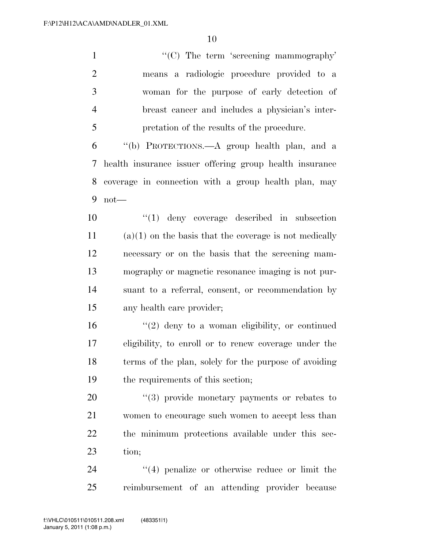1 ''(C) The term 'screening mammography' means a radiologic procedure provided to a woman for the purpose of early detection of breast cancer and includes a physician's inter- pretation of the results of the procedure. ''(b) PROTECTIONS.—A group health plan, and a health insurance issuer offering group health insurance coverage in connection with a group health plan, may not— ''(1) deny coverage described in subsection (a)(1) on the basis that the coverage is not medically necessary or on the basis that the screening mam- mography or magnetic resonance imaging is not pur-suant to a referral, consent, or recommendation by

any health care provider;

 ''(2) deny to a woman eligibility, or continued eligibility, to enroll or to renew coverage under the terms of the plan, solely for the purpose of avoiding the requirements of this section;

 $(3)$  provide monetary payments or rebates to women to encourage such women to accept less than the minimum protections available under this sec-tion;

24 ''(4) penalize or otherwise reduce or limit the reimbursement of an attending provider because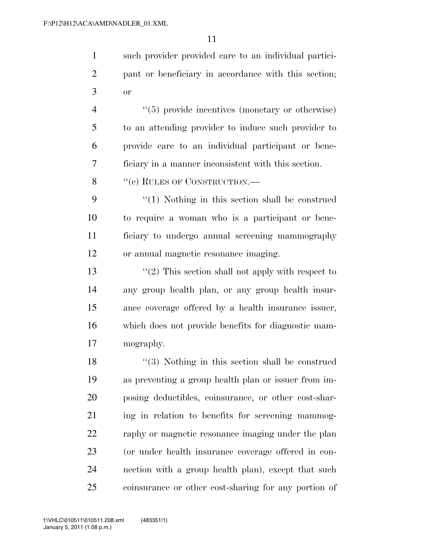such provider provided care to an individual partici- pant or beneficiary in accordance with this section; or

 $(5)$  provide incentives (monetary or otherwise) to an attending provider to induce such provider to provide care to an individual participant or bene-ficiary in a manner inconsistent with this section.

8 "(c) RULES OF CONSTRUCTION.—

 ''(1) Nothing in this section shall be construed to require a woman who is a participant or bene- ficiary to undergo annual screening mammography or annual magnetic resonance imaging.

 $\frac{1}{2}$  This section shall not apply with respect to any group health plan, or any group health insur- ance coverage offered by a health insurance issuer, which does not provide benefits for diagnostic mam-mography.

18 ''(3) Nothing in this section shall be construed as preventing a group health plan or issuer from im- posing deductibles, coinsurance, or other cost-shar-21 ing in relation to benefits for screening mammog- raphy or magnetic resonance imaging under the plan (or under health insurance coverage offered in con- nection with a group health plan), except that such coinsurance or other cost-sharing for any portion of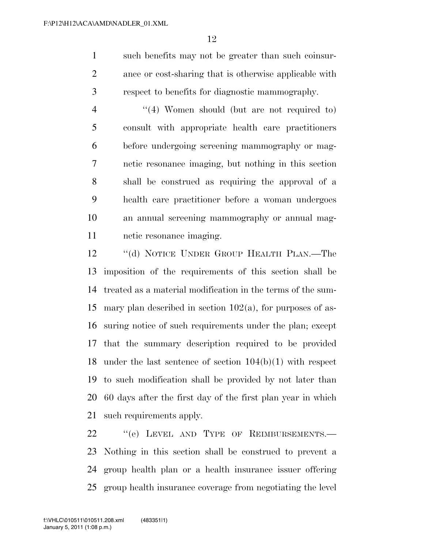such benefits may not be greater than such coinsur- ance or cost-sharing that is otherwise applicable with respect to benefits for diagnostic mammography.

4 ''(4) Women should (but are not required to) consult with appropriate health care practitioners before undergoing screening mammography or mag- netic resonance imaging, but nothing in this section shall be construed as requiring the approval of a health care practitioner before a woman undergoes an annual screening mammography or annual mag-netic resonance imaging.

 ''(d) NOTICE UNDER GROUP HEALTH PLAN.—The imposition of the requirements of this section shall be treated as a material modification in the terms of the sum- mary plan described in section 102(a), for purposes of as- suring notice of such requirements under the plan; except that the summary description required to be provided under the last sentence of section 104(b)(1) with respect to such modification shall be provided by not later than 60 days after the first day of the first plan year in which such requirements apply.

22 "(e) LEVEL AND TYPE OF REIMBURSEMENTS.— Nothing in this section shall be construed to prevent a group health plan or a health insurance issuer offering group health insurance coverage from negotiating the level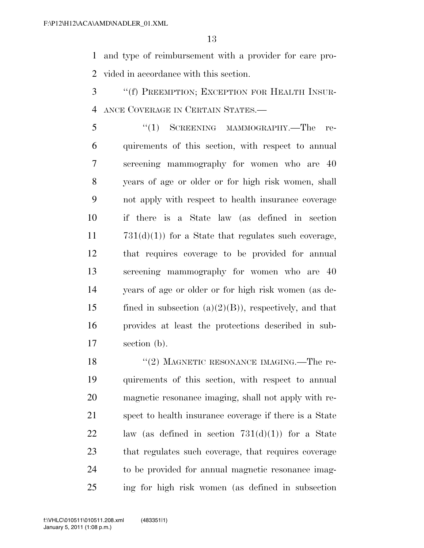and type of reimbursement with a provider for care pro-vided in accordance with this section.

 ''(f) PREEMPTION; EXCEPTION FOR HEALTH INSUR-ANCE COVERAGE IN CERTAIN STATES.—

5 "(1) SCREENING MAMMOGRAPHY.—The re- quirements of this section, with respect to annual screening mammography for women who are 40 years of age or older or for high risk women, shall not apply with respect to health insurance coverage if there is a State law (as defined in section  $731(d)(1)$  for a State that regulates such coverage, that requires coverage to be provided for annual screening mammography for women who are 40 years of age or older or for high risk women (as de-15 fined in subsection  $(a)(2)(B)$ , respectively, and that provides at least the protections described in sub-section (b).

18 "(2) MAGNETIC RESONANCE IMAGING.—The re- quirements of this section, with respect to annual magnetic resonance imaging, shall not apply with re- spect to health insurance coverage if there is a State 22 law (as defined in section  $731(d)(1)$ ) for a State that regulates such coverage, that requires coverage to be provided for annual magnetic resonance imag-ing for high risk women (as defined in subsection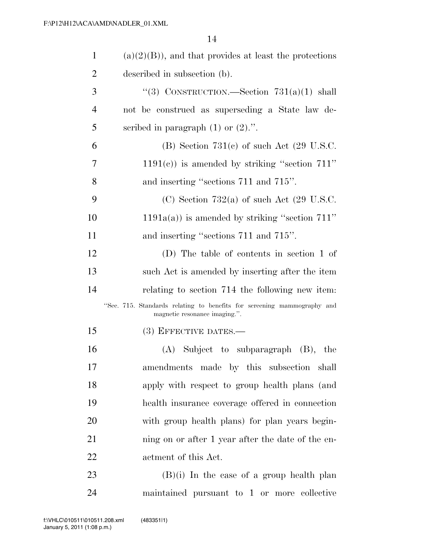| $\mathbf{1}$   | $(a)(2)(B)$ , and that provides at least the protections                                                 |
|----------------|----------------------------------------------------------------------------------------------------------|
| $\overline{2}$ | described in subsection (b).                                                                             |
| 3              | "(3) CONSTRUCTION.—Section $731(a)(1)$ shall                                                             |
| $\overline{4}$ | not be construed as superseding a State law de-                                                          |
| 5              | scribed in paragraph $(1)$ or $(2)$ .".                                                                  |
| 6              | (B) Section $731(c)$ of such Act $(29 \text{ U.S.C.})$                                                   |
| 7              | $1191(c)$ ) is amended by striking "section 711"                                                         |
| 8              | and inserting "sections 711 and 715".                                                                    |
| 9              | (C) Section 732(a) of such Act $(29 \text{ U.S.C.})$                                                     |
| 10             | $1191a(a)$ ) is amended by striking "section 711"                                                        |
| 11             | and inserting "sections 711 and 715".                                                                    |
| 12             | (D) The table of contents in section 1 of                                                                |
| 13             | such Act is amended by inserting after the item                                                          |
| 14             | relating to section 714 the following new item:                                                          |
|                | "Sec. 715. Standards relating to benefits for screening mammography and<br>magnetic resonance imaging.". |
| 15             | (3) EFFECTIVE DATES.-                                                                                    |
| 16             | $(A)$ Subject to subparagraph $(B)$ , the                                                                |
| 17             | amendments made by this subsection shall                                                                 |
| 18             | apply with respect to group health plans (and                                                            |
| 19             | health insurance coverage offered in connection                                                          |
| 20             | with group health plans) for plan years begin-                                                           |
| 21             | ning on or after 1 year after the date of the en-                                                        |
| 22             | actment of this Act.                                                                                     |
| 23             | $(B)(i)$ In the case of a group health plan                                                              |
| 24             | maintained pursuant to 1 or more collective                                                              |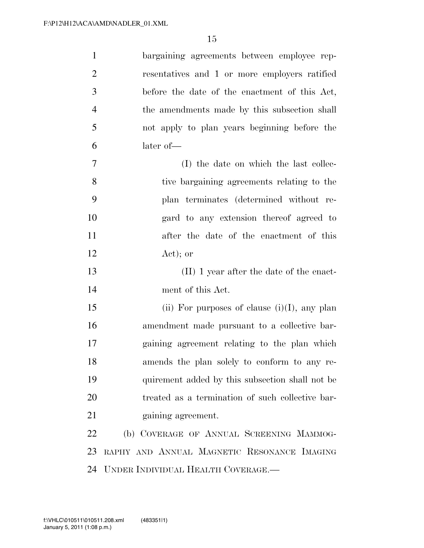| $\mathbf{1}$   | bargaining agreements between employee rep-      |
|----------------|--------------------------------------------------|
| $\overline{2}$ | resentatives and 1 or more employers ratified    |
| 3              | before the date of the enactment of this Act,    |
| $\overline{4}$ | the amendments made by this subsection shall     |
| 5              | not apply to plan years beginning before the     |
| 6              | later of-                                        |
| $\overline{7}$ | (I) the date on which the last collec-           |
| 8              | tive bargaining agreements relating to the       |
| 9              | plan terminates (determined without re-          |
| 10             | gard to any extension thereof agreed to          |
| 11             | after the date of the enactment of this          |
| 12             | $Act)$ ; or                                      |
| 13             | (II) 1 year after the date of the enact-         |
| 14             | ment of this Act.                                |
| 15             | (ii) For purposes of clause $(i)(I)$ , any plan  |
| 16             | amendment made pursuant to a collective bar-     |
| 17             | gaining agreement relating to the plan which     |
| 18             | amends the plan solely to conform to any re-     |
| 19             | quirement added by this subsection shall not be  |
| 20             | treated as a termination of such collective bar- |
| 21             | gaining agreement.                               |
| 22             | (b) COVERAGE OF ANNUAL SCREENING MAMMOG-         |
| 23             | RAPHY AND ANNUAL MAGNETIC RESONANCE IMAGING      |
| 24             | UNDER INDIVIDUAL HEALTH COVERAGE.                |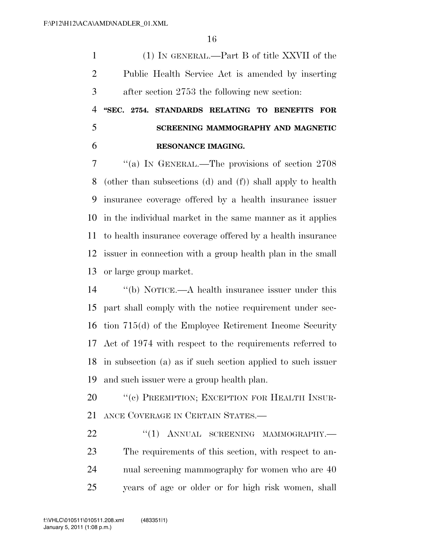(1) IN GENERAL.—Part B of title XXVII of the Public Health Service Act is amended by inserting after section 2753 the following new section:

 **''SEC. 2754. STANDARDS RELATING TO BENEFITS FOR SCREENING MAMMOGRAPHY AND MAGNETIC RESONANCE IMAGING.** 

 ''(a) IN GENERAL.—The provisions of section 2708 (other than subsections (d) and (f)) shall apply to health insurance coverage offered by a health insurance issuer in the individual market in the same manner as it applies to health insurance coverage offered by a health insurance issuer in connection with a group health plan in the small or large group market.

 ''(b) NOTICE.—A health insurance issuer under this part shall comply with the notice requirement under sec- tion 715(d) of the Employee Retirement Income Security Act of 1974 with respect to the requirements referred to in subsection (a) as if such section applied to such issuer and such issuer were a group health plan.

20 "(c) PREEMPTION; EXCEPTION FOR HEALTH INSUR-ANCE COVERAGE IN CERTAIN STATES.—

22 "(1) ANNUAL SCREENING MAMMOGRAPHY.— The requirements of this section, with respect to an- nual screening mammography for women who are 40 years of age or older or for high risk women, shall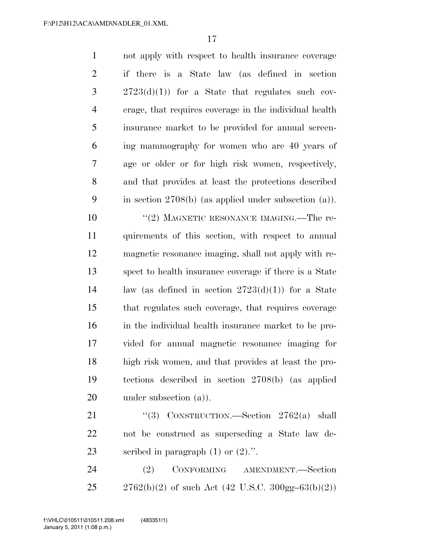not apply with respect to health insurance coverage if there is a State law (as defined in section  $3 \t2723(d)(1)$  for a State that regulates such cov- erage, that requires coverage in the individual health insurance market to be provided for annual screen- ing mammography for women who are 40 years of age or older or for high risk women, respectively, and that provides at least the protections described in section 2708(b) (as applied under subsection (a)).

10 ''(2) MAGNETIC RESONANCE IMAGING.—The re- quirements of this section, with respect to annual magnetic resonance imaging, shall not apply with re- spect to health insurance coverage if there is a State law (as defined in section 2723(d)(1)) for a State that regulates such coverage, that requires coverage in the individual health insurance market to be pro- vided for annual magnetic resonance imaging for high risk women, and that provides at least the pro- tections described in section 2708(b) (as applied 20 under subsection (a)).

21 "(3) CONSTRUCTION.—Section 2762(a) shall not be construed as superseding a State law de-23 scribed in paragraph (1) or  $(2)$ .".

 (2) CONFORMING AMENDMENT.—Section 25 2762(b)(2) of such Act (42 U.S.C.  $300g\text{m} - 63(b)(2)$ )